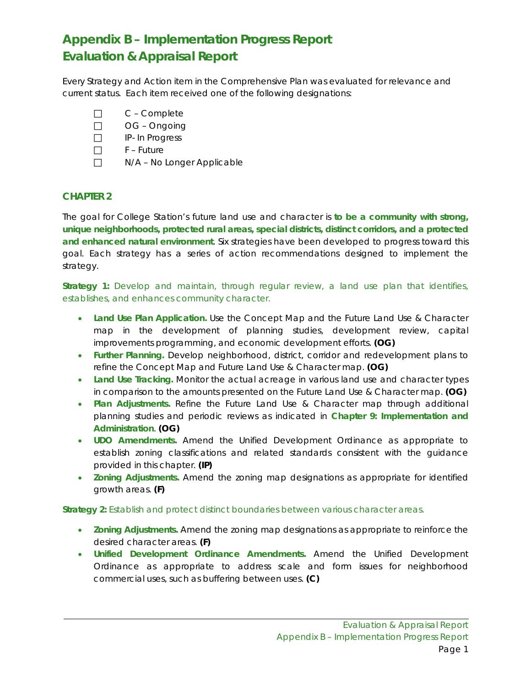# **Appendix B – Implementation Progress Report Evaluation & Appraisal Report**

Every Strategy and Action item in the Comprehensive Plan was evaluated for relevance and current status. Each item received one of the following designations:

- □ C Complete
- OG Ongoing
- IP- In Progress
- $\Box$  F Future
- $\Box$  N/A No Longer Applicable

# **CHAPTER 2**

The goal for College Station's future land use and character is *to be a community with strong, unique neighborhoods, protected rural areas, special districts, distinct corridors, and a protected and enhanced natural environment*. Six strategies have been developed to progress toward this goal. Each strategy has a series of action recommendations designed to implement the strategy.

*Strategy 1: Develop and maintain, through regular review, a land use plan that identifies, establishes, and enhances community character.*

- **Land Use Plan Application.** Use the Concept Map and the Future Land Use & Character map in the development of planning studies, development review, capital improvements programming, and economic development efforts. **(OG)**
- **Further Planning.** Develop neighborhood, district, corridor and redevelopment plans to refine the Concept Map and Future Land Use & Character map. **(OG)**
- Land Use Tracking. Monitor the actual acreage in various land use and character types in comparison to the amounts presented on the Future Land Use & Character map. **(OG)**
- **Plan Adjustments.** Refine the Future Land Use & Character map through additional planning studies and periodic reviews as indicated in **Chapter 9: Implementation and Administration**. **(OG)**
- **UDO Amendments.** Amend the Unified Development Ordinance as appropriate to establish zoning classifications and related standards consistent with the guidance provided in this chapter. **(IP)**
- **Zoning Adjustments.** Amend the zoning map designations as appropriate for identified growth areas. **(F)**

*Strategy 2: Establish and protect distinct boundaries between various character areas.*

- **Zoning Adjustments.** Amend the zoning map designations as appropriate to reinforce the desired character areas. **(F)**
- **Unified Development Ordinance Amendments.** Amend the Unified Development Ordinance as appropriate to address scale and form issues for neighborhood commercial uses, such as buffering between uses. **(C)**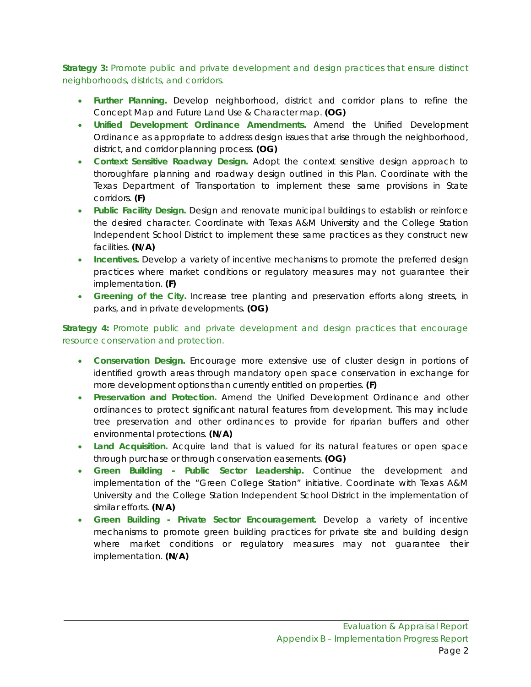*Strategy 3: Promote public and private development and design practices that ensure distinct neighborhoods, districts, and corridors.*

- **Further Planning.** Develop neighborhood, district and corridor plans to refine the Concept Map and Future Land Use & Character map. **(OG)**
- **Unified Development Ordinance Amendments.** Amend the Unified Development Ordinance as appropriate to address design issues that arise through the neighborhood, district, and corridor planning process. **(OG)**
- **Context Sensitive Roadway Design.** Adopt the context sensitive design approach to thoroughfare planning and roadway design outlined in this Plan. Coordinate with the Texas Department of Transportation to implement these same provisions in State corridors. **(F)**
- **Public Facility Design.** Design and renovate municipal buildings to establish or reinforce the desired character. Coordinate with Texas A&M University and the College Station Independent School District to implement these same practices as they construct new facilities. **(N/A)**
- **Incentives.** Develop a variety of incentive mechanisms to promote the preferred design practices where market conditions or regulatory measures may not guarantee their implementation. **(F)**
- **Greening of the City.** Increase tree planting and preservation efforts along streets, in parks, and in private developments. **(OG)**

### *Strategy 4: Promote public and private development and design practices that encourage resource conservation and protection.*

- **Conservation Design.** Encourage more extensive use of cluster design in portions of identified growth areas through mandatory open space conservation in exchange for more development options than currently entitled on properties. **(F)**
- **Preservation and Protection.** Amend the Unified Development Ordinance and other ordinances to protect significant natural features from development. This may include tree preservation and other ordinances to provide for riparian buffers and other environmental protections. **(N/A)**
- Land Acquisition. Acquire land that is valued for its natural features or open space through purchase or through conservation easements. **(OG)**
- **Green Building - Public Sector Leadership.** Continue the development and implementation of the "Green College Station" initiative. Coordinate with Texas A&M University and the College Station Independent School District in the implementation of similar efforts. **(N/A)**
- **Green Building - Private Sector Encouragement.** Develop a variety of incentive mechanisms to promote green building practices for private site and building design where market conditions or regulatory measures may not guarantee their implementation. **(N/A)**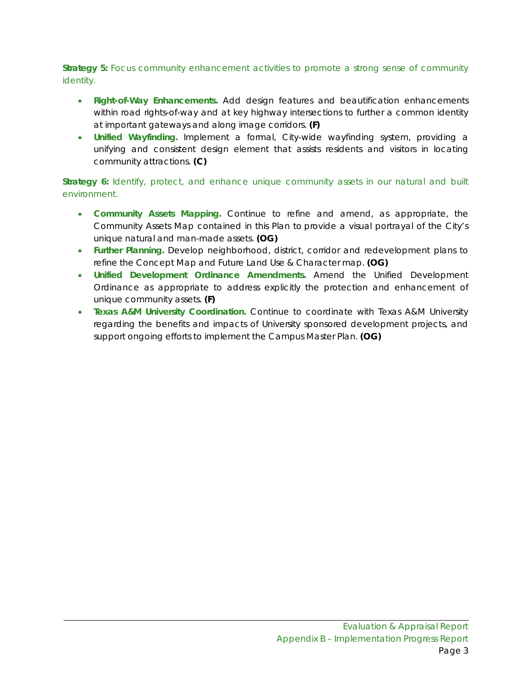*Strategy 5: Focus community enhancement activities to promote a strong sense of community identity.*

- **Right-of-Way Enhancements.** Add design features and beautification enhancements within road rights-of-way and at key highway intersections to further a common identity at important gateways and along image corridors. **(F)**
- **Unified Wayfinding.** Implement a formal, City-wide wayfinding system, providing a unifying and consistent design element that assists residents and visitors in locating community attractions. **(C)**

# *Strategy 6: Identify, protect, and enhance unique community assets in our natural and built environment.*

- **Community Assets Mapping.** Continue to refine and amend, as appropriate, the Community Assets Map contained in this Plan to provide a visual portrayal of the City's unique natural and man-made assets. **(OG)**
- **Further Planning.** Develop neighborhood, district, corridor and redevelopment plans to refine the Concept Map and Future Land Use & Character map. **(OG)**
- **Unified Development Ordinance Amendments.** Amend the Unified Development Ordinance as appropriate to address explicitly the protection and enhancement of unique community assets. **(F)**
- **Texas A&M University Coordination.** Continue to coordinate with Texas A&M University regarding the benefits and impacts of University sponsored development projects, and support ongoing efforts to implement the Campus Master Plan. **(OG)**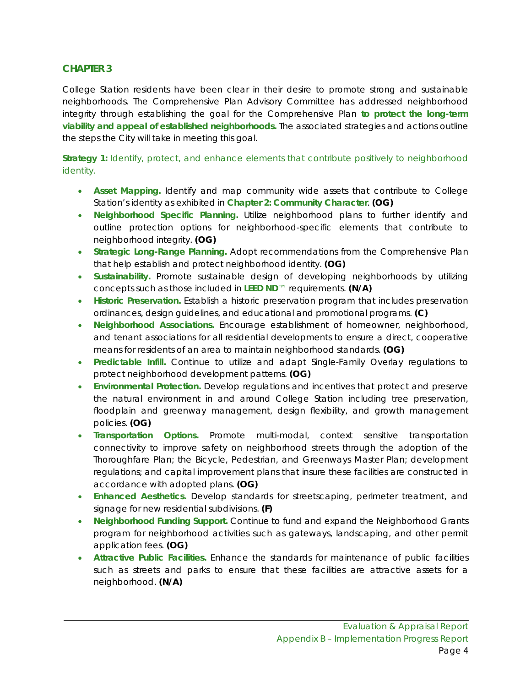College Station residents have been clear in their desire to promote strong and sustainable neighborhoods. The Comprehensive Plan Advisory Committee has addressed neighborhood integrity through establishing the goal for the Comprehensive Plan *to protect the long-term viability and appeal of established neighborhoods.* The associated strategies and actions outline the steps the City will take in meeting this goal.

*Strategy 1: Identify, protect, and enhance elements that contribute positively to neighborhood identity.*

- **Asset Mapping.** Identify and map community wide assets that contribute to College Station's identity as exhibited in **Chapter 2: Community Character**. **(OG)**
- **Neighborhood Specific Planning.** Utilize neighborhood plans to further identify and outline protection options for neighborhood-specific elements that contribute to neighborhood integrity. **(OG)**
- **Strategic Long-Range Planning.** Adopt recommendations from the Comprehensive Plan that help establish and protect neighborhood identity. **(OG)**
- **Sustainability.** Promote sustainable design of developing neighborhoods by utilizing concepts such as those included in **LEED ND**™ requirements. **(N/A)**
- **Historic Preservation.** Establish a historic preservation program that includes preservation ordinances, design guidelines, and educational and promotional programs. **(C)**
- **Neighborhood Associations.** Encourage establishment of homeowner, neighborhood, and tenant associations for all residential developments to ensure a direct, cooperative means for residents of an area to maintain neighborhood standards. **(OG)**
- **Predictable Infill.** Continue to utilize and adapt Single-Family Overlay regulations to protect neighborhood development patterns. **(OG)**
- **Environmental Protection.** Develop regulations and incentives that protect and preserve the natural environment in and around College Station including tree preservation, floodplain and greenway management, design flexibility, and growth management policies. **(OG)**
- **Transportation Options.** Promote multi-modal, context sensitive transportation connectivity to improve safety on neighborhood streets through the adoption of the Thoroughfare Plan; the Bicycle, Pedestrian, and Greenways Master Plan; development regulations; and capital improvement plans that insure these facilities are constructed in accordance with adopted plans. **(OG)**
- **Enhanced Aesthetics.** Develop standards for streetscaping, perimeter treatment, and signage for new residential subdivisions. **(F)**
- **Neighborhood Funding Support.** Continue to fund and expand the Neighborhood Grants program for neighborhood activities such as gateways, landscaping, and other permit application fees. **(OG)**
- **Attractive Public Facilities.** Enhance the standards for maintenance of public facilities such as streets and parks to ensure that these facilities are attractive assets for a neighborhood. **(N/A)**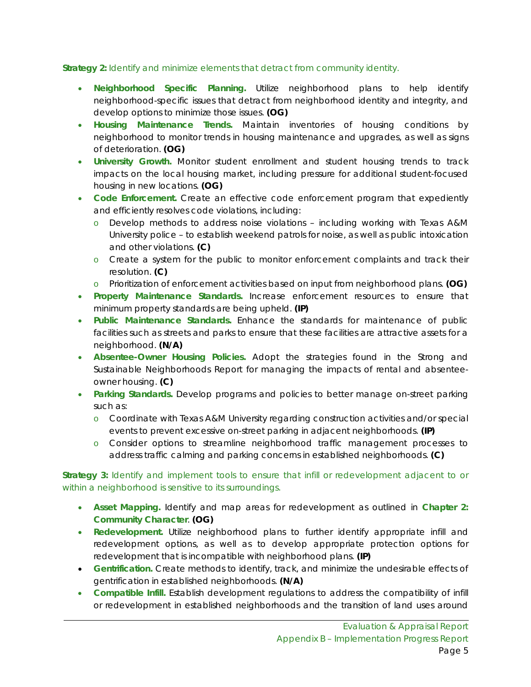# *Strategy 2: Identify and minimize elements that detract from community identity.*

- **Neighborhood Specific Planning.** Utilize neighborhood plans to help identify neighborhood-specific issues that detract from neighborhood identity and integrity, and develop options to minimize those issues. **(OG)**
- **Housing Maintenance Trends.** Maintain inventories of housing conditions by neighborhood to monitor trends in housing maintenance and upgrades, as well as signs of deterioration. **(OG)**
- **University Growth.** Monitor student enrollment and student housing trends to track impacts on the local housing market, including pressure for additional student-focused housing in new locations. **(OG)**
- **Code Enforcement.** Create an effective code enforcement program that expediently and efficiently resolves code violations, including:
	- o Develop methods to address noise violations including working with Texas A&M University police – to establish weekend patrols for noise, as well as public intoxication and other violations. **(C)**
	- o Create a system for the public to monitor enforcement complaints and track their resolution. **(C)**
	- o Prioritization of enforcement activities based on input from neighborhood plans. **(OG)**
- **Property Maintenance Standards.** Increase enforcement resources to ensure that minimum property standards are being upheld. **(IP)**
- **Public Maintenance Standards.** Enhance the standards for maintenance of public facilities such as streets and parks to ensure that these facilities are attractive assets for a neighborhood. **(N/A)**
- **Absentee-Owner Housing Policies.** Adopt the strategies found in the Strong and Sustainable Neighborhoods Report for managing the impacts of rental and absenteeowner housing. **(C)**
- **Parking Standards.** Develop programs and policies to better manage on-street parking such as:
	- o Coordinate with Texas A&M University regarding construction activities and/or special events to prevent excessive on-street parking in adjacent neighborhoods. **(IP)**
	- o Consider options to streamline neighborhood traffic management processes to address traffic calming and parking concerns in established neighborhoods. **(C)**

# *Strategy 3: Identify and implement tools to ensure that infill or redevelopment adjacent to or within a neighborhood is sensitive to its surroundings.*

- **Asset Mapping.** Identify and map areas for redevelopment as outlined in **Chapter 2: Community Character**. **(OG)**
- **Redevelopment.** Utilize neighborhood plans to further identify appropriate infill and redevelopment options, as well as to develop appropriate protection options for redevelopment that is incompatible with neighborhood plans. **(IP)**
- **Gentrification.** Create methods to identify, track, and minimize the undesirable effects of gentrification in established neighborhoods. **(N/A)**
- **Compatible Infill.** Establish development regulations to address the compatibility of infill or redevelopment in established neighborhoods and the transition of land uses around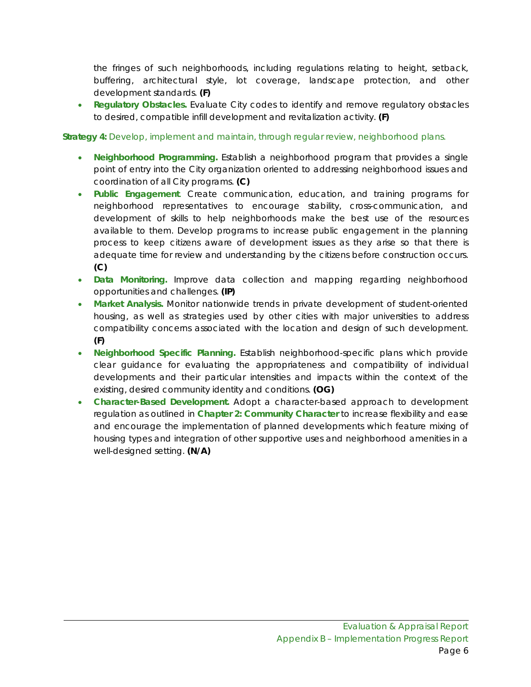the fringes of such neighborhoods, including regulations relating to height, setback, buffering, architectural style, lot coverage, landscape protection, and other development standards. **(F)**

• **Regulatory Obstacles.** Evaluate City codes to identify and remove regulatory obstacles to desired, compatible infill development and revitalization activity. **(F)**

# *Strategy 4: Develop, implement and maintain, through regular review, neighborhood plans.*

- **Neighborhood Programming.** Establish a neighborhood program that provides a single point of entry into the City organization oriented to addressing neighborhood issues and coordination of all City programs. **(C)**
- **Public Engagement**. Create communication, education, and training programs for neighborhood representatives to encourage stability, cross-communication, and development of skills to help neighborhoods make the best use of the resources available to them. Develop programs to increase public engagement in the planning process to keep citizens aware of development issues as they arise so that there is adequate time for review and understanding by the citizens before construction occurs. **(C)**
- **Data Monitoring.** Improve data collection and mapping regarding neighborhood opportunities and challenges. **(IP)**
- **Market Analysis.** Monitor nationwide trends in private development of student-oriented housing, as well as strategies used by other cities with major universities to address compatibility concerns associated with the location and design of such development. **(F)**
- **Neighborhood Specific Planning.** Establish neighborhood-specific plans which provide clear guidance for evaluating the appropriateness and compatibility of individual developments and their particular intensities and impacts within the context of the existing, desired community identity and conditions. **(OG)**
- **Character-Based Development.** Adopt a character-based approach to development regulation as outlined in **Chapter 2: Community Character** to increase flexibility and ease and encourage the implementation of planned developments which feature mixing of housing types and integration of other supportive uses and neighborhood amenities in a well-designed setting. **(N/A)**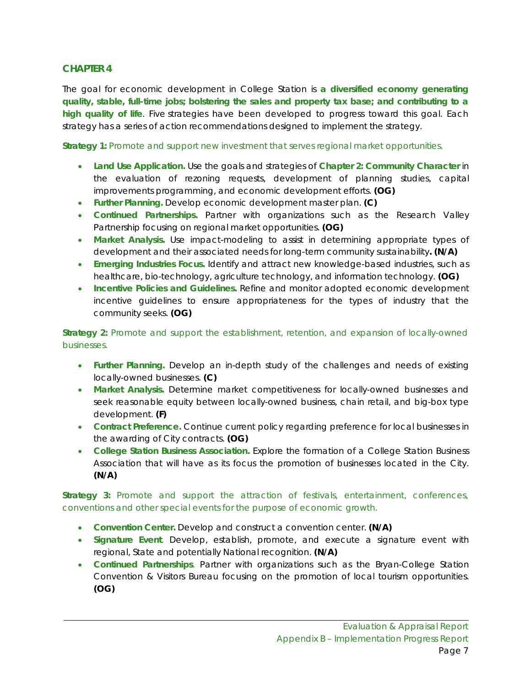The goal for economic development in College Station is *a diversified economy generating quality, stable, full-time jobs; bolstering the sales and property tax base; and contributing to a high quality of life*. Five strategies have been developed to progress toward this goal. Each strategy has a series of action recommendations designed to implement the strategy.

*Strategy 1: Promote and support new investment that serves regional market opportunities.*

- **Land Use Application.** Use the goals and strategies of **Chapter 2: Community Character** in the evaluation of rezoning requests, development of planning studies, capital improvements programming, and economic development efforts. **(OG)**
- **Further Planning.** Develop economic development master plan. **(C)**
- **Continued Partnerships.** Partner with organizations such as the Research Valley Partnership focusing on regional market opportunities. **(OG)**
- **Market Analysis.** Use impact-modeling to assist in determining appropriate types of development and their associated needs for long-term community sustainability**. (N/A)**
- **Emerging Industries Focus.** Identify and attract new knowledge-based industries, such as healthcare, bio-technology, agriculture technology, and information technology. **(OG)**
- **Incentive Policies and Guidelines.** Refine and monitor adopted economic development incentive guidelines to ensure appropriateness for the types of industry that the community seeks. **(OG)**

*Strategy 2: Promote and support the establishment, retention, and expansion of locally-owned businesses.*

- **Further Planning.** Develop an in-depth study of the challenges and needs of existing locally-owned businesses. **(C)**
- **Market Analysis.** Determine market competitiveness for locally-owned businesses and seek reasonable equity between locally-owned business, chain retail, and big-box type development. **(F)**
- **Contract Preference.** Continue current policy regarding preference for local businesses in the awarding of City contracts. **(OG)**
- **College Station Business Association.** Explore the formation of a College Station Business Association that will have as its focus the promotion of businesses located in the City. **(N/A)**

*Strategy 3: Promote and support the attraction of festivals, entertainment, conferences, conventions and other special events for the purpose of economic growth.*

- **Convention Center.** Develop and construct a convention center. **(N/A)**
- **Signature Event**. Develop, establish, promote, and execute a signature event with regional, State and potentially National recognition. **(N/A)**
- **Continued Partnerships**. Partner with organizations such as the Bryan-College Station Convention & Visitors Bureau focusing on the promotion of local tourism opportunities. **(OG)**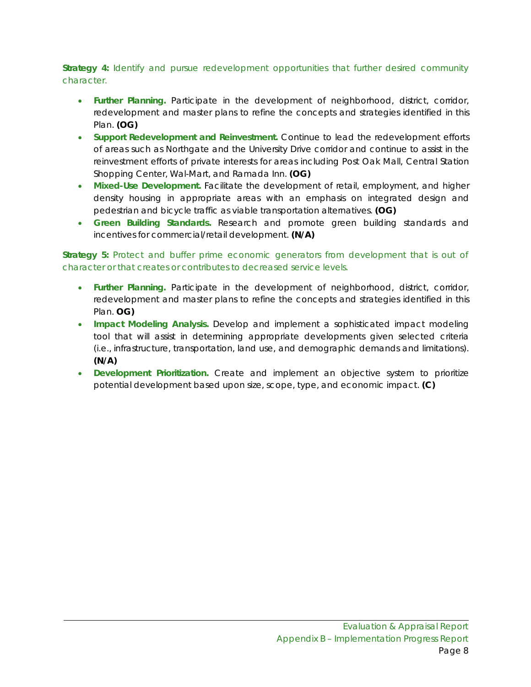# *Strategy 4: Identify and pursue redevelopment opportunities that further desired community character.*

- **Further Planning.** Participate in the development of neighborhood, district, corridor, redevelopment and master plans to refine the concepts and strategies identified in this Plan. **(OG)**
- **Support Redevelopment and Reinvestment.** Continue to lead the redevelopment efforts of areas such as Northgate and the University Drive corridor and continue to assist in the reinvestment efforts of private interests for areas including Post Oak Mall, Central Station Shopping Center, Wal-Mart, and Ramada Inn. **(OG)**
- **Mixed-Use Development.** Facilitate the development of retail, employment, and higher density housing in appropriate areas with an emphasis on integrated design and pedestrian and bicycle traffic as viable transportation alternatives. **(OG)**
- **Green Building Standards.** Research and promote green building standards and incentives for commercial/retail development. **(N/A)**

*Strategy 5: Protect and buffer prime economic generators from development that is out of character or that creates or contributes to decreased service levels.*

- **Further Planning.** Participate in the development of neighborhood, district, corridor, redevelopment and master plans to refine the concepts and strategies identified in this Plan. **OG)**
- **Impact Modeling Analysis.** Develop and implement a sophisticated impact modeling tool that will assist in determining appropriate developments given selected criteria (i.e., infrastructure, transportation, land use, and demographic demands and limitations). **(N/A)**
- **Development Prioritization.** Create and implement an objective system to prioritize potential development based upon size, scope, type, and economic impact. **(C)**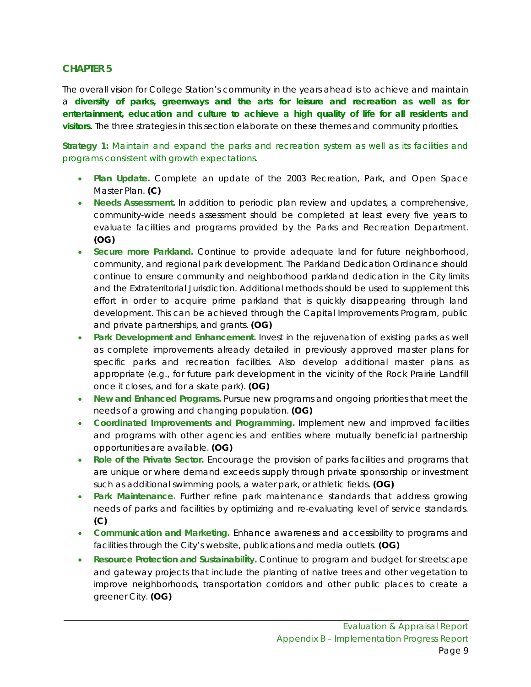The overall vision for College Station's community in the years ahead is to achieve and maintain a **diversity of parks, greenways and the arts for leisure and recreation as well as for entertainment, education and culture to achieve a high quality of life for all residents and visitors**. The three strategies in this section elaborate on these themes and community priorities.

*Strategy 1: Maintain and expand the parks and recreation system as well as its facilities and programs consistent with growth expectations.*

- **Plan Update.** Complete an update of the 2003 Recreation, Park, and Open Space Master Plan. **(C)**
- **Needs Assessment.** In addition to periodic plan review and updates, a comprehensive, community-wide needs assessment should be completed at least every five years to evaluate facilities and programs provided by the Parks and Recreation Department. **(OG)**
- **Secure more Parkland.** Continue to provide adequate land for future neighborhood, community, and regional park development. The Parkland Dedication Ordinance should continue to ensure community and neighborhood parkland dedication in the City limits and the Extraterritorial Jurisdiction. Additional methods should be used to supplement this effort in order to acquire prime parkland that is quickly disappearing through land development. This can be achieved through the Capital Improvements Program, public and private partnerships, and grants. **(OG)**
- **Park Development and Enhancement.** Invest in the rejuvenation of existing parks as well as complete improvements already detailed in previously approved master plans for specific parks and recreation facilities. Also develop additional master plans as appropriate (e.g., for future park development in the vicinity of the Rock Prairie Landfill once it closes, and for a skate park). **(OG)**
- **New and Enhanced Programs.** Pursue new programs and ongoing priorities that meet the needs of a growing and changing population. **(OG)**
- **Coordinated Improvements and Programming.** Implement new and improved facilities and programs with other agencies and entities where mutually beneficial partnership opportunities are available. **(OG)**
- **Role of the Private Sector.** Encourage the provision of parks facilities and programs that are unique or where demand exceeds supply through private sponsorship or investment such as additional swimming pools, a water park, or athletic fields. **(OG)**
- **Park Maintenance.** Further refine park maintenance standards that address growing needs of parks and facilities by optimizing and re-evaluating level of service standards. **(C)**
- **Communication and Marketing.** Enhance awareness and accessibility to programs and facilities through the City's website, publications and media outlets. **(OG)**
- **Resource Protection and Sustainability.** Continue to program and budget for streetscape and gateway projects that include the planting of native trees and other vegetation to improve neighborhoods, transportation corridors and other public places to create a greener City. **(OG)**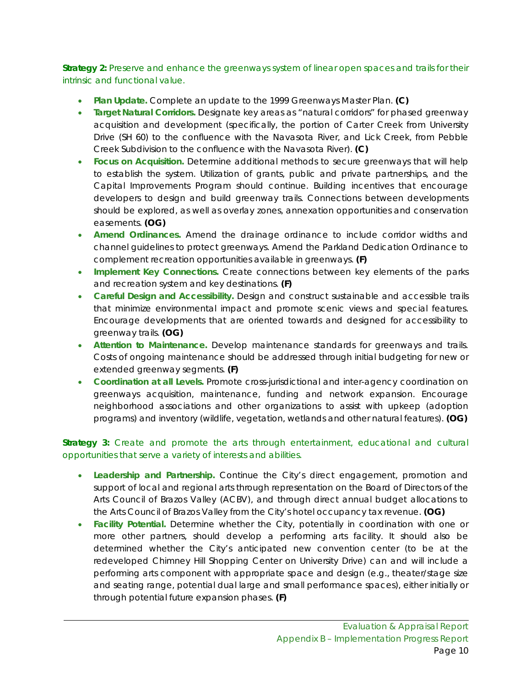# *Strategy 2: Preserve and enhance the greenways system of linear open spaces and trails for their intrinsic and functional value.*

- **Plan Update.** Complete an update to the 1999 Greenways Master Plan. **(C)**
- **Target Natural Corridors.** Designate key areas as "natural corridors" for phased greenway acquisition and development (specifically, the portion of Carter Creek from University Drive (SH 60) to the confluence with the Navasota River, and Lick Creek, from Pebble Creek Subdivision to the confluence with the Navasota River). **(C)**
- **Focus on Acquisition.** Determine additional methods to secure greenways that will help to establish the system. Utilization of grants, public and private partnerships, and the Capital Improvements Program should continue. Building incentives that encourage developers to design and build greenway trails. Connections between developments should be explored, as well as overlay zones, annexation opportunities and conservation easements. **(OG)**
- **Amend Ordinances.** Amend the drainage ordinance to include corridor widths and channel guidelines to protect greenways. Amend the Parkland Dedication Ordinance to complement recreation opportunities available in greenways. **(F)**
- **Implement Key Connections.** Create connections between key elements of the parks and recreation system and key destinations. **(F)**
- **Careful Design and Accessibility.** Design and construct sustainable and accessible trails that minimize environmental impact and promote scenic views and special features. Encourage developments that are oriented towards and designed for accessibility to greenway trails. **(OG)**
- **Attention to Maintenance.** Develop maintenance standards for greenways and trails. Costs of ongoing maintenance should be addressed through initial budgeting for new or extended greenway segments. **(F)**
- Coordination at all Levels. Promote cross-jurisdictional and inter-agency coordination on greenways acquisition, maintenance, funding and network expansion. Encourage neighborhood associations and other organizations to assist with upkeep (adoption programs) and inventory (wildlife, vegetation, wetlands and other natural features). **(OG)**

# *Strategy 3: Create and promote the arts through entertainment, educational and cultural opportunities that serve a variety of interests and abilities.*

- **Leadership and Partnership.** Continue the City's direct engagement, promotion and support of local and regional arts through representation on the Board of Directors of the Arts Council of Brazos Valley (ACBV), and through direct annual budget allocations to the Arts Council of Brazos Valley from the City's hotel occupancy tax revenue. **(OG)**
- **Facility Potential.** Determine whether the City, potentially in coordination with one or more other partners, should develop a performing arts facility. It should also be determined whether the City's anticipated new convention center (to be at the redeveloped Chimney Hill Shopping Center on University Drive) can and will include a performing arts component with appropriate space and design (e.g., theater/stage size and seating range, potential dual large and small performance spaces), either initially or through potential future expansion phases. **(F)**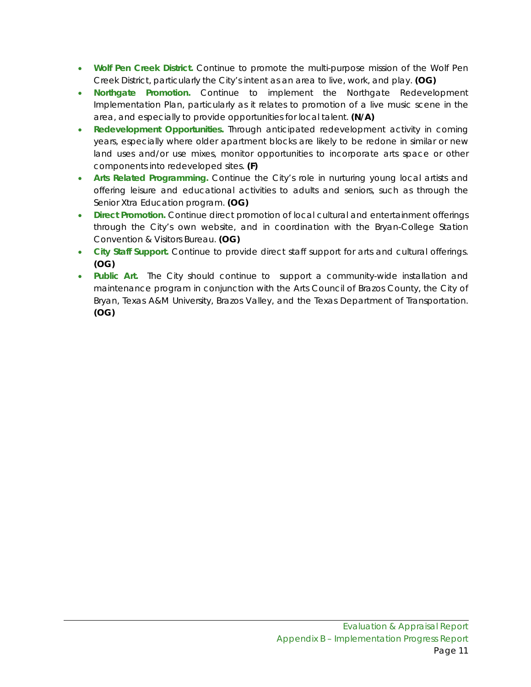- **Wolf Pen Creek District.** Continue to promote the multi-purpose mission of the Wolf Pen Creek District, particularly the City's intent as an area to live, work, and play. **(OG)**
- **Northgate Promotion.** Continue to implement the Northgate Redevelopment Implementation Plan, particularly as it relates to promotion of a live music scene in the area, and especially to provide opportunities for local talent. **(N/A)**
- **Redevelopment Opportunities.** Through anticipated redevelopment activity in coming years, especially where older apartment blocks are likely to be redone in similar or new land uses and/or use mixes, monitor opportunities to incorporate arts space or other components into redeveloped sites. **(F)**
- **Arts Related Programming.** Continue the City's role in nurturing young local artists and offering leisure and educational activities to adults and seniors, such as through the Senior Xtra Education program. **(OG)**
- **Direct Promotion.** Continue direct promotion of local cultural and entertainment offerings through the City's own website, and in coordination with the Bryan-College Station Convention & Visitors Bureau. **(OG)**
- **City Staff Support.** Continue to provide direct staff support for arts and cultural offerings. **(OG)**
- **Public Art.** The City should continue to support a community-wide installation and maintenance program in conjunction with the Arts Council of Brazos County, the City of Bryan, Texas A&M University, Brazos Valley, and the Texas Department of Transportation. **(OG)**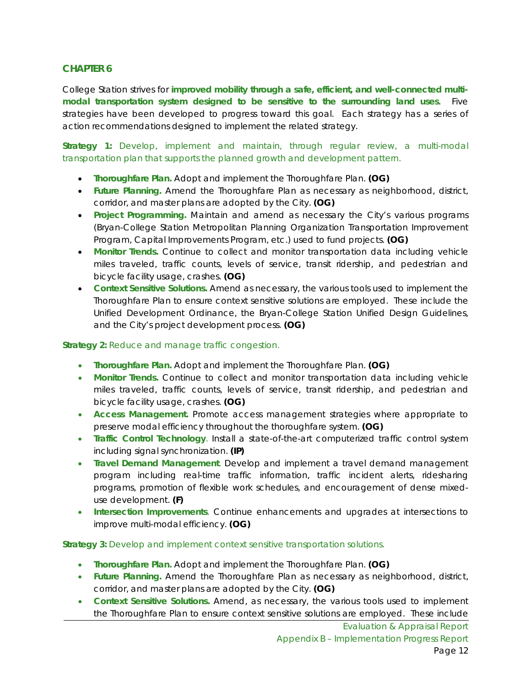College Station strives for **improved mobility through a safe, efficient, and well-connected multimodal transportation system designed to be sensitive to the surrounding land uses**. Five strategies have been developed to progress toward this goal. Each strategy has a series of action recommendations designed to implement the related strategy.

*Strategy 1: Develop, implement and maintain, through regular review, a multi-modal transportation plan that supports the planned growth and development pattern.*

- **Thoroughfare Plan.** Adopt and implement the Thoroughfare Plan. **(OG)**
- **Future Planning.** Amend the Thoroughfare Plan as necessary as neighborhood, district, corridor, and master plans are adopted by the City. **(OG)**
- **Project Programming.** Maintain and amend as necessary the City's various programs (Bryan-College Station Metropolitan Planning Organization Transportation Improvement Program, Capital Improvements Program, etc.) used to fund projects. **(OG)**
- **Monitor Trends.** Continue to collect and monitor transportation data including vehicle miles traveled, traffic counts, levels of service, transit ridership, and pedestrian and bicycle facility usage, crashes. **(OG)**
- **Context Sensitive Solutions.** Amend as necessary, the various tools used to implement the Thoroughfare Plan to ensure context sensitive solutions are employed. These include the Unified Development Ordinance, the Bryan-College Station Unified Design Guidelines, and the City's project development process. **(OG)**

#### *Strategy 2: Reduce and manage traffic congestion.*

- **Thoroughfare Plan.** Adopt and implement the Thoroughfare Plan. **(OG)**
- **Monitor Trends.** Continue to collect and monitor transportation data including vehicle miles traveled, traffic counts, levels of service, transit ridership, and pedestrian and bicycle facility usage, crashes. **(OG)**
- **Access Management.** Promote access management strategies where appropriate to preserve modal efficiency throughout the thoroughfare system. **(OG)**
- **Traffic Control Technology**. Install a state-of-the-art computerized traffic control system including signal synchronization. **(IP)**
- **Travel Demand Management**. Develop and implement a travel demand management program including real-time traffic information, traffic incident alerts, ridesharing programs, promotion of flexible work schedules, and encouragement of dense mixeduse development. **(F)**
- **Intersection Improvements**. Continue enhancements and upgrades at intersections to improve multi-modal efficiency. **(OG)**

#### *Strategy 3: Develop and implement context sensitive transportation solutions.*

- **Thoroughfare Plan.** Adopt and implement the Thoroughfare Plan. **(OG)**
- **Future Planning.** Amend the Thoroughfare Plan as necessary as neighborhood, district, corridor, and master plans are adopted by the City. **(OG)**
- **Context Sensitive Solutions.** Amend, as necessary, the various tools used to implement the Thoroughfare Plan to ensure context sensitive solutions are employed. These include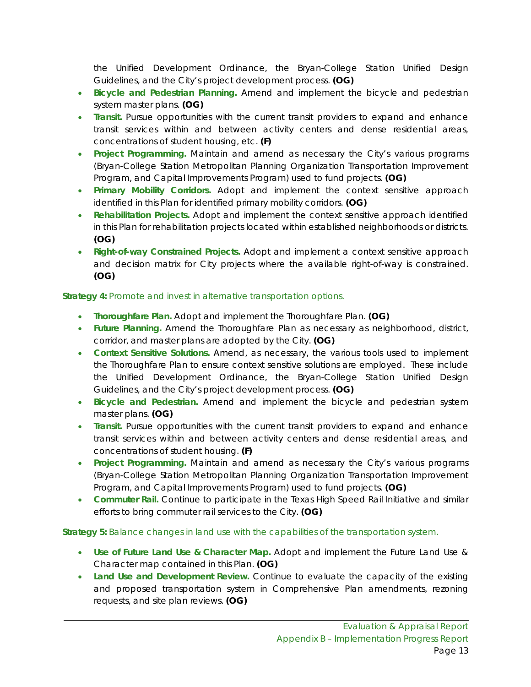the Unified Development Ordinance, the Bryan-College Station Unified Design Guidelines, and the City's project development process. **(OG)**

- **Bicycle and Pedestrian Planning.** Amend and implement the bicycle and pedestrian system master plans. **(OG)**
- **Transit.** Pursue opportunities with the current transit providers to expand and enhance transit services within and between activity centers and dense residential areas, concentrations of student housing, etc. **(F)**
- **Project Programming.** Maintain and amend as necessary the City's various programs (Bryan-College Station Metropolitan Planning Organization Transportation Improvement Program, and Capital Improvements Program) used to fund projects. **(OG)**
- **Primary Mobility Corridors.** Adopt and implement the context sensitive approach identified in this Plan for identified primary mobility corridors. **(OG)**
- **Rehabilitation Projects.** Adopt and implement the context sensitive approach identified in this Plan for rehabilitation projects located within established neighborhoods or districts. **(OG)**
- **Right-of-way Constrained Projects.** Adopt and implement a context sensitive approach and decision matrix for City projects where the available right-of-way is constrained. **(OG)**

# *Strategy 4: Promote and invest in alternative transportation options.*

- **Thoroughfare Plan.** Adopt and implement the Thoroughfare Plan. **(OG)**
- **Future Planning.** Amend the Thoroughfare Plan as necessary as neighborhood, district, corridor, and master plans are adopted by the City. **(OG)**
- **Context Sensitive Solutions.** Amend, as necessary, the various tools used to implement the Thoroughfare Plan to ensure context sensitive solutions are employed. These include the Unified Development Ordinance, the Bryan-College Station Unified Design Guidelines, and the City's project development process. **(OG)**
- **Bicycle and Pedestrian.** Amend and implement the bicycle and pedestrian system master plans. **(OG)**
- **Transit.** Pursue opportunities with the current transit providers to expand and enhance transit services within and between activity centers and dense residential areas, and concentrations of student housing. **(F)**
- **Project Programming.** Maintain and amend as necessary the City's various programs (Bryan-College Station Metropolitan Planning Organization Transportation Improvement Program, and Capital Improvements Program) used to fund projects. **(OG)**
- **Commuter Rail.** Continue to participate in the Texas High Speed Rail Initiative and similar efforts to bring commuter rail services to the City. **(OG)**

### *Strategy 5: Balance changes in land use with the capabilities of the transportation system.*

- **Use of Future Land Use & Character Map.** Adopt and implement the Future Land Use & Character map contained in this Plan. **(OG)**
- **Land Use and Development Review.** Continue to evaluate the capacity of the existing and proposed transportation system in Comprehensive Plan amendments, rezoning requests, and site plan reviews. **(OG)**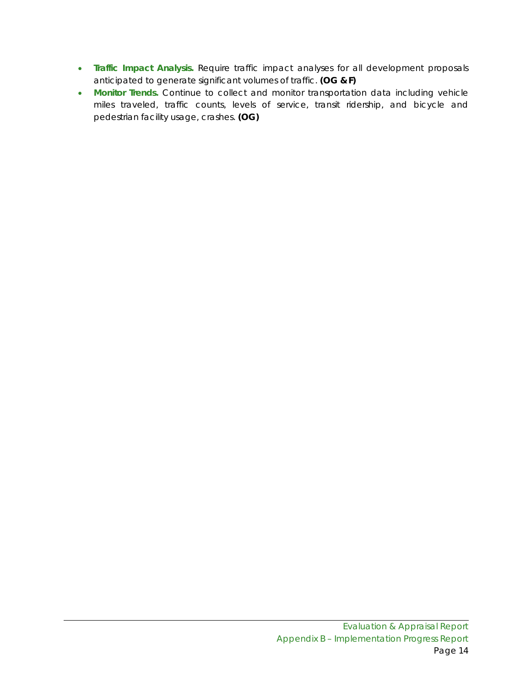- **Traffic Impact Analysis.** Require traffic impact analyses for all development proposals anticipated to generate significant volumes of traffic. **(OG & F)**
- **Monitor Trends.** Continue to collect and monitor transportation data including vehicle miles traveled, traffic counts, levels of service, transit ridership, and bicycle and pedestrian facility usage, crashes. **(OG)**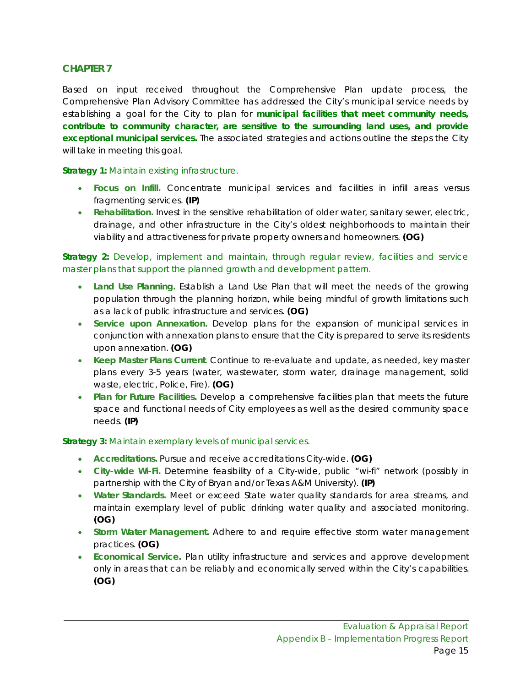Based on input received throughout the Comprehensive Plan update process, the Comprehensive Plan Advisory Committee has addressed the City's municipal service needs by establishing a goal for the City to plan for *municipal facilities that meet community needs, contribute to community character, are sensitive to the surrounding land uses, and provide exceptional municipal services.* The associated strategies and actions outline the steps the City will take in meeting this goal.

#### *Strategy 1: Maintain existing infrastructure.*

- **Focus on Infill.** Concentrate municipal services and facilities in infill areas versus fragmenting services. **(IP)**
- **Rehabilitation.** Invest in the sensitive rehabilitation of older water, sanitary sewer, electric, drainage, and other infrastructure in the City's oldest neighborhoods to maintain their viability and attractiveness for private property owners and homeowners. **(OG)**

# *Strategy 2: Develop, implement and maintain, through regular review, facilities and service master plans that support the planned growth and development pattern.*

- **Land Use Planning.** Establish a Land Use Plan that will meet the needs of the growing population through the planning horizon, while being mindful of growth limitations such as a lack of public infrastructure and services. **(OG)**
- **Service upon Annexation.** Develop plans for the expansion of municipal services in conjunction with annexation plans to ensure that the City is prepared to serve its residents upon annexation. **(OG)**
- **Keep Master Plans Current**. Continue to re-evaluate and update, as needed, key master plans every 3-5 years (water, wastewater, storm water, drainage management, solid waste, electric, Police, Fire). **(OG)**
- **Plan for Future Facilities.** Develop a comprehensive facilities plan that meets the future space and functional needs of City employees as well as the desired community space needs. **(IP)**

### *Strategy 3: Maintain exemplary levels of municipal services.*

- **Accreditations.** Pursue and receive accreditations City-wide. **(OG)**
- **City-wide Wi-Fi.** Determine feasibility of a City-wide, public "wi-fi" network (possibly in partnership with the City of Bryan and/or Texas A&M University). **(IP)**
- **Water Standards.** Meet or exceed State water quality standards for area streams, and maintain exemplary level of public drinking water quality and associated monitoring. **(OG)**
- **Storm Water Management.** Adhere to and require effective storm water management practices. **(OG)**
- **Economical Service.** Plan utility infrastructure and services and approve development only in areas that can be reliably and economically served within the City's capabilities. **(OG)**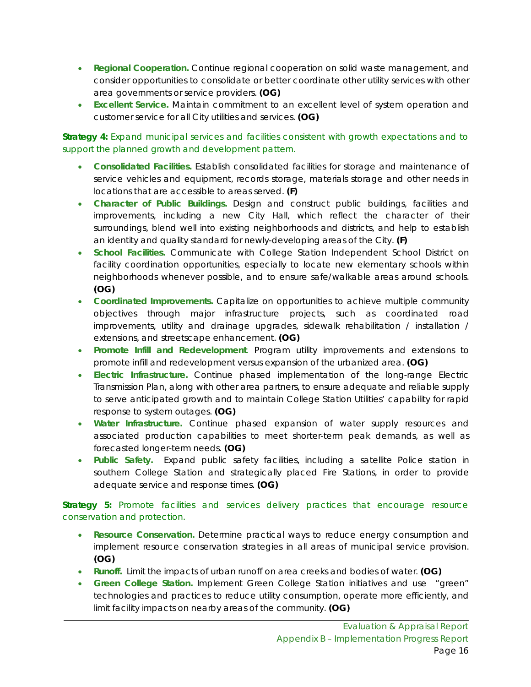- **Regional Cooperation.** Continue regional cooperation on solid waste management, and consider opportunities to consolidate or better coordinate other utility services with other area governments or service providers. **(OG)**
- **Excellent Service.** Maintain commitment to an excellent level of system operation and customer service for all City utilities and services. **(OG)**

# *Strategy 4: Expand municipal services and facilities consistent with growth expectations and to support the planned growth and development pattern.*

- **Consolidated Facilities.** Establish consolidated facilities for storage and maintenance of service vehicles and equipment, records storage, materials storage and other needs in locations that are accessible to areas served. **(F)**
- **Character of Public Buildings.** Design and construct public buildings, facilities and improvements, including a new City Hall, which reflect the character of their surroundings, blend well into existing neighborhoods and districts, and help to establish an identity and quality standard for newly-developing areas of the City. **(F)**
- **School Facilities.** Communicate with College Station Independent School District on facility coordination opportunities, especially to locate new elementary schools within neighborhoods whenever possible, and to ensure safe/walkable areas around schools. **(OG)**
- **Coordinated Improvements.** Capitalize on opportunities to achieve multiple community objectives through major infrastructure projects, such as coordinated road improvements, utility and drainage upgrades, sidewalk rehabilitation / installation / extensions, and streetscape enhancement. **(OG)**
- **Promote Infill and Redevelopment**. Program utility improvements and extensions to promote infill and redevelopment versus expansion of the urbanized area. **(OG)**
- **Electric Infrastructure.** Continue phased implementation of the long-range Electric Transmission Plan, along with other area partners, to ensure adequate and reliable supply to serve anticipated growth and to maintain College Station Utilities' capability for rapid response to system outages. **(OG)**
- **Water Infrastructure.** Continue phased expansion of water supply resources and associated production capabilities to meet shorter-term peak demands, as well as forecasted longer-term needs. **(OG)**
- **Public Safety.** Expand public safety facilities, including a satellite Police station in southern College Station and strategically placed Fire Stations, in order to provide adequate service and response times. **(OG)**

# *Strategy 5: Promote facilities and services delivery practices that encourage resource conservation and protection.*

- **Resource Conservation.** Determine practical ways to reduce energy consumption and implement resource conservation strategies in all areas of municipal service provision. **(OG)**
- **Runoff.** Limit the impacts of urban runoff on area creeks and bodies of water. **(OG)**
- **Green College Station.** Implement Green College Station initiatives and use "green" technologies and practices to reduce utility consumption, operate more efficiently, and limit facility impacts on nearby areas of the community. **(OG)**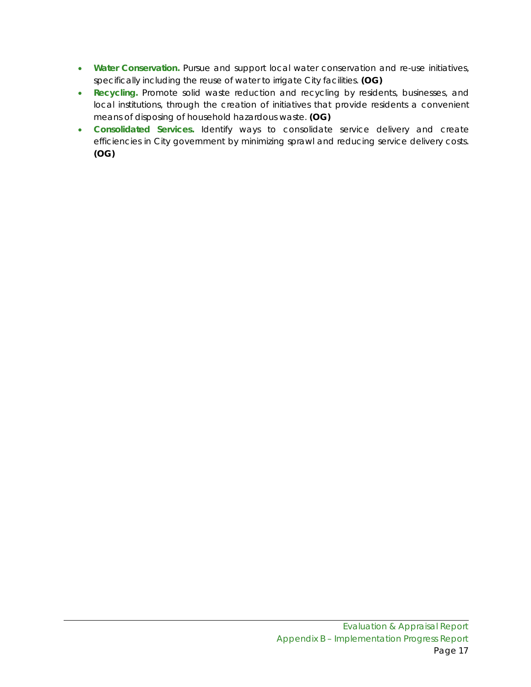- **Water Conservation.** Pursue and support local water conservation and re-use initiatives, specifically including the reuse of water to irrigate City facilities. **(OG)**
- **Recycling.** Promote solid waste reduction and recycling by residents, businesses, and local institutions, through the creation of initiatives that provide residents a convenient means of disposing of household hazardous waste. **(OG)**
- **Consolidated Services.** Identify ways to consolidate service delivery and create efficiencies in City government by minimizing sprawl and reducing service delivery costs. **(OG)**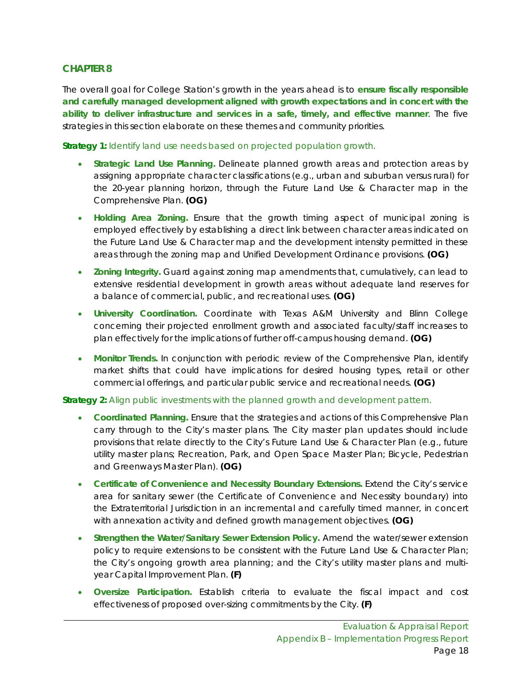The overall goal for College Station's growth in the years ahead is to **ensure fiscally responsible and carefully managed development aligned with growth expectations and in concert with the ability to deliver infrastructure and services in a safe, timely, and effective manner**. The five strategies in this section elaborate on these themes and community priorities.

*Strategy 1: Identify land use needs based on projected population growth.*

- **Strategic Land Use Planning.** Delineate planned growth areas and protection areas by assigning appropriate character classifications (e.g., urban and suburban versus rural) for the 20-year planning horizon, through the Future Land Use & Character map in the Comprehensive Plan. **(OG)**
- **Holding Area Zoning.** Ensure that the growth timing aspect of municipal zoning is employed effectively by establishing a direct link between character areas indicated on the Future Land Use & Character map and the development intensity permitted in these areas through the zoning map and Unified Development Ordinance provisions. **(OG)**
- **Zoning Integrity.** Guard against zoning map amendments that, cumulatively, can lead to extensive residential development in growth areas without adequate land reserves for a balance of commercial, public, and recreational uses. **(OG)**
- **University Coordination.** Coordinate with Texas A&M University and Blinn College concerning their projected enrollment growth and associated faculty/staff increases to plan effectively for the implications of further off-campus housing demand. **(OG)**
- **Monitor Trends.** In conjunction with periodic review of the Comprehensive Plan, identify market shifts that could have implications for desired housing types, retail or other commercial offerings, and particular public service and recreational needs. **(OG)**

#### *Strategy 2: Align public investments with the planned growth and development pattern.*

- **Coordinated Planning.** Ensure that the strategies and actions of this Comprehensive Plan carry through to the City's master plans. The City master plan updates should include provisions that relate directly to the City's Future Land Use & Character Plan (e.g., future utility master plans; Recreation, Park, and Open Space Master Plan; Bicycle, Pedestrian and Greenways Master Plan). **(OG)**
- **Certificate of Convenience and Necessity Boundary Extensions.** Extend the City's service area for sanitary sewer (the Certificate of Convenience and Necessity boundary) into the Extraterritorial Jurisdiction in an incremental and carefully timed manner, in concert with annexation activity and defined growth management objectives. **(OG)**
- **Strengthen the Water/Sanitary Sewer Extension Policy.** Amend the water/sewer extension policy to require extensions to be consistent with the Future Land Use & Character Plan; the City's ongoing growth area planning; and the City's utility master plans and multiyear Capital Improvement Plan. **(F)**
- **Oversize Participation.** Establish criteria to evaluate the fiscal impact and cost effectiveness of proposed over-sizing commitments by the City. **(F)**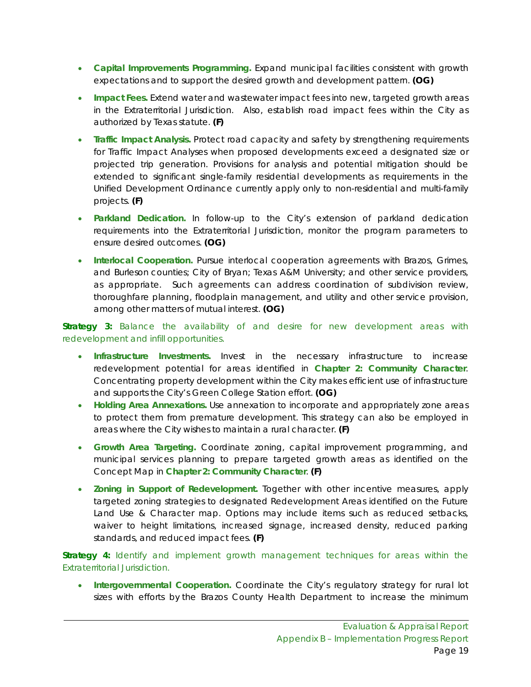- **Capital Improvements Programming.** Expand municipal facilities consistent with growth expectations and to support the desired growth and development pattern. **(OG)**
- **Impact Fees.** Extend water and wastewater impact fees into new, targeted growth areas in the Extraterritorial Jurisdiction. Also, establish road impact fees within the City as authorized by Texas statute. **(F)**
- **Traffic Impact Analysis.** Protect road capacity and safety by strengthening requirements for Traffic Impact Analyses when proposed developments exceed a designated size or projected trip generation. Provisions for analysis and potential mitigation should be extended to significant single-family residential developments as requirements in the Unified Development Ordinance currently apply only to non-residential and multi-family projects. **(F)**
- **Parkland Dedication.** In follow-up to the City's extension of parkland dedication requirements into the Extraterritorial Jurisdiction, monitor the program parameters to ensure desired outcomes. **(OG)**
- **Interlocal Cooperation.** Pursue interlocal cooperation agreements with Brazos, Grimes, and Burleson counties; City of Bryan; Texas A&M University; and other service providers, as appropriate. Such agreements can address coordination of subdivision review, thoroughfare planning, floodplain management, and utility and other service provision, among other matters of mutual interest. **(OG)**

*Strategy 3: Balance the availability of and desire for new development areas with redevelopment and infill opportunities.*

- **Infrastructure Investments.** Invest in the necessary infrastructure to increase redevelopment potential for areas identified in **Chapter 2: Community Character**. Concentrating property development within the City makes efficient use of infrastructure and supports the City's Green College Station effort. **(OG)**
- **Holding Area Annexations.** Use annexation to incorporate and appropriately zone areas to protect them from premature development. This strategy can also be employed in areas where the City wishes to maintain a rural character. **(F)**
- **Growth Area Targeting.** Coordinate zoning, capital improvement programming, and municipal services planning to prepare targeted growth areas as identified on the Concept Map in **Chapter 2: Community Character**. **(F)**
- **Zoning in Support of Redevelopment.** Together with other incentive measures, apply targeted zoning strategies to designated Redevelopment Areas identified on the Future Land Use & Character map. Options may include items such as reduced setbacks, waiver to height limitations, increased signage, increased density, reduced parking standards, and reduced impact fees. **(F)**

*Strategy 4: Identify and implement growth management techniques for areas within the Extraterritorial Jurisdiction.*

• **Intergovernmental Cooperation.** Coordinate the City's regulatory strategy for rural lot sizes with efforts by the Brazos County Health Department to increase the minimum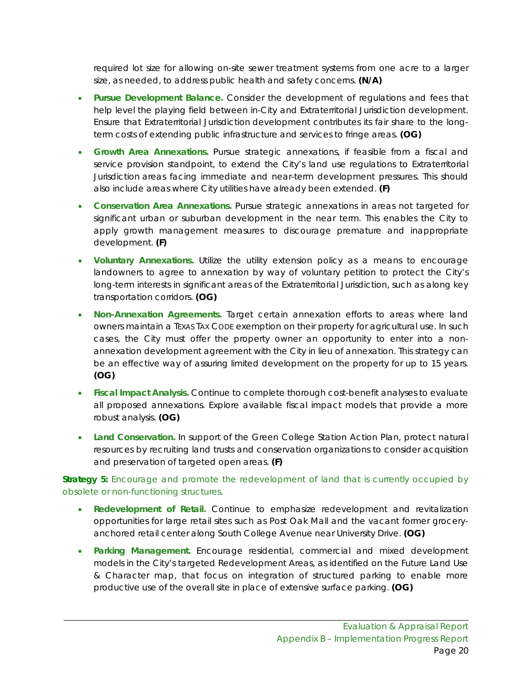required lot size for allowing on-site sewer treatment systems from one acre to a larger size, as needed, to address public health and safety concerns. **(N/A)**

- **Pursue Development Balance.** Consider the development of regulations and fees that help level the playing field between in-City and Extraterritorial Jurisdiction development. Ensure that Extraterritorial Jurisdiction development contributes its fair share to the longterm costs of extending public infrastructure and services to fringe areas. **(OG)**
- **Growth Area Annexations.** Pursue strategic annexations, if feasible from a fiscal and service provision standpoint, to extend the City's land use regulations to Extraterritorial Jurisdiction areas facing immediate and near-term development pressures. This should also include areas where City utilities have already been extended. **(F)**
- **Conservation Area Annexations.** Pursue strategic annexations in areas not targeted for significant urban or suburban development in the near term. This enables the City to apply growth management measures to discourage premature and inappropriate development. **(F)**
- **Voluntary Annexations.** Utilize the utility extension policy as a means to encourage landowners to agree to annexation by way of voluntary petition to protect the City's long-term interests in significant areas of the Extraterritorial Jurisdiction, such as along key transportation corridors. **(OG)**
- **Non-Annexation Agreements.** Target certain annexation efforts to areas where land owners maintain a TEXAS TAX CODE exemption on their property for agricultural use. In such cases, the City must offer the property owner an opportunity to enter into a nonannexation development agreement with the City in lieu of annexation. This strategy can be an effective way of assuring limited development on the property for up to 15 years. **(OG)**
- **Fiscal Impact Analysis.** Continue to complete thorough cost-benefit analyses to evaluate all proposed annexations. Explore available fiscal impact models that provide a more robust analysis. **(OG)**
- **Land Conservation.** In support of the Green College Station Action Plan, protect natural resources by recruiting land trusts and conservation organizations to consider acquisition and preservation of targeted open areas. **(F)**

*Strategy 5: Encourage and promote the redevelopment of land that is currently occupied by obsolete or non-functioning structures.*

- **Redevelopment of Retail.** Continue to emphasize redevelopment and revitalization opportunities for large retail sites such as Post Oak Mall and the vacant former groceryanchored retail center along South College Avenue near University Drive. **(OG)**
- **Parking Management.** Encourage residential, commercial and mixed development models in the City's targeted Redevelopment Areas, as identified on the Future Land Use & Character map, that focus on integration of structured parking to enable more productive use of the overall site in place of extensive surface parking. **(OG)**